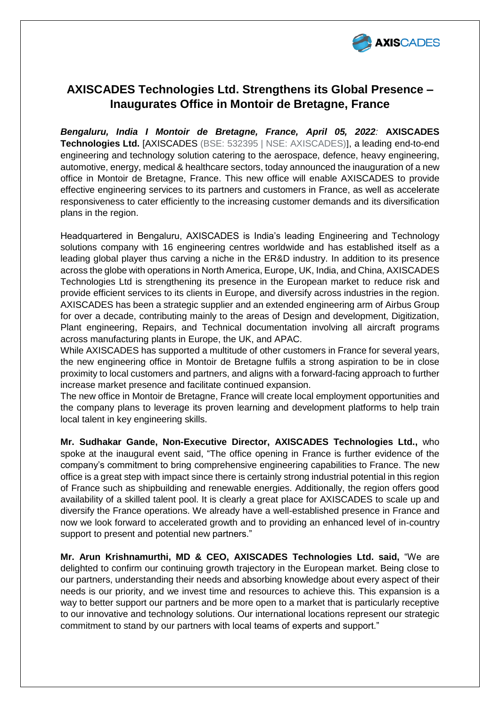

# **AXISCADES Technologies Ltd. Strengthens its Global Presence – Inaugurates Office in Montoir de Bretagne, France**

*Bengaluru, India I Montoir de Bretagne, France, April 05, 2022:* **AXISCADES Technologies Ltd.** [AXISCADES (BSE: 532395 | NSE: AXISCADES)], a leading end-to-end engineering and technology solution catering to the aerospace, defence, heavy engineering, automotive, energy, medical & healthcare sectors, today announced the inauguration of a new office in Montoir de Bretagne, France. This new office will enable AXISCADES to provide effective engineering services to its partners and customers in France, as well as accelerate responsiveness to cater efficiently to the increasing customer demands and its diversification plans in the region.

Headquartered in Bengaluru, AXISCADES is India's leading Engineering and Technology solutions company with 16 engineering centres worldwide and has established itself as a leading global player thus carving a niche in the ER&D industry. In addition to its presence across the globe with operations in North America, Europe, UK, India, and China, AXISCADES Technologies Ltd is strengthening its presence in the European market to reduce risk and provide efficient services to its clients in Europe, and diversify across industries in the region. AXISCADES has been a strategic supplier and an extended engineering arm of Airbus Group for over a decade, contributing mainly to the areas of Design and development, Digitization, Plant engineering, Repairs, and Technical documentation involving all aircraft programs across manufacturing plants in Europe, the UK, and APAC.

While AXISCADES has supported a multitude of other customers in France for several years, the new engineering office in Montoir de Bretagne fulfils a strong aspiration to be in close proximity to local customers and partners, and aligns with a forward-facing approach to further increase market presence and facilitate continued expansion.

The new office in Montoir de Bretagne, France will create local employment opportunities and the company plans to leverage its proven learning and development platforms to help train local talent in key engineering skills.

**Mr. Sudhakar Gande, Non-Executive Director, AXISCADES Technologies Ltd.,** who spoke at the inaugural event said, "The office opening in France is further evidence of the company's commitment to bring comprehensive engineering capabilities to France. The new office is a great step with impact since there is certainly strong industrial potential in this region of France such as shipbuilding and renewable energies. Additionally, the region offers good availability of a skilled talent pool. It is clearly a great place for AXISCADES to scale up and diversify the France operations. We already have a well-established presence in France and now we look forward to accelerated growth and to providing an enhanced level of in-country support to present and potential new partners."

**Mr. Arun Krishnamurthi, MD & CEO, AXISCADES Technologies Ltd. said,** "We are delighted to confirm our continuing growth trajectory in the European market. Being close to our partners, understanding their needs and absorbing knowledge about every aspect of their needs is our priority, and we invest time and resources to achieve this. This expansion is a way to better support our partners and be more open to a market that is particularly receptive to our innovative and technology solutions. Our international locations represent our strategic commitment to stand by our partners with local teams of experts and support."